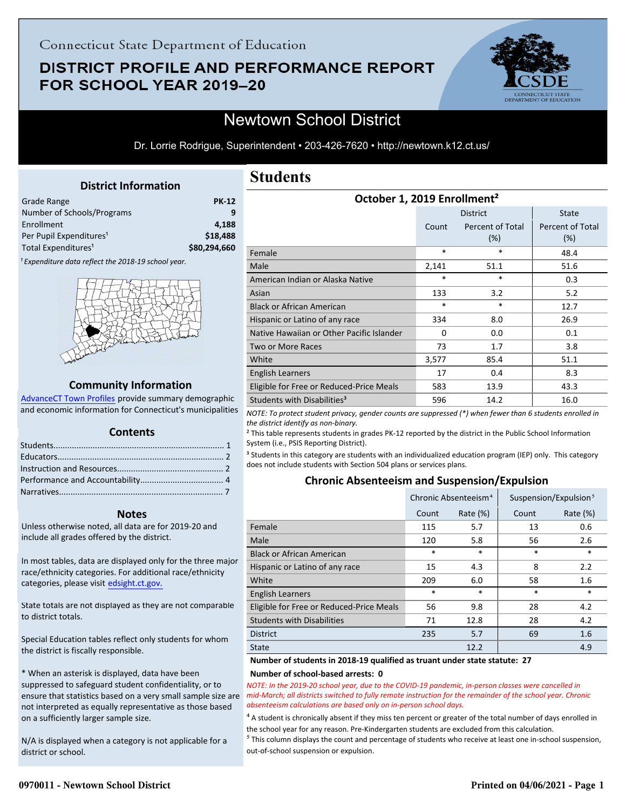## **DISTRICT PROFILE AND PERFORMANCE REPORT** FOR SCHOOL YEAR 2019-20



## Newtown School District

Dr. Lorrie Rodrigue, Superintendent • 203-426-7620 • http://newtown.k12.ct.us/

## **District Information**

<span id="page-0-0"></span>

| Grade Range                         | <b>PK-12</b> |
|-------------------------------------|--------------|
| Number of Schools/Programs          |              |
| Enrollment                          | 4.188        |
| Per Pupil Expenditures <sup>1</sup> | \$18,488     |
| Total Expenditures <sup>1</sup>     | \$80,294,660 |
|                                     |              |

<sup>1</sup> Expenditure data reflect the 2018-19 school year.



#### **Community Information**

AdvanceCT Town Profiles provide summary demographic  [and economic information for Connecticut's municipalities](http://www.cerc.com/townprofiles/)

#### **Contents**

#### **Notes**

Unless otherwise noted, all data are for 2019-20 and include all grades offered by the district.

[In most tables, data are displayed only for the three major](http://edsight.ct.gov/) race/ethnicity categories. For additional race/ethnicity categories, please visit edsight.ct.gov.

State totals are not displayed as they are not comparable to district totals.

Special Education tables reflect only students for whom the district is fiscally responsible.

\* When an asterisk is displayed, data have been suppressed to safeguard student confidentiality, or to ensure that statistics based on a very small sample size are not interpreted as equally representative as those based on a sufficiently larger sample size.

N/A is displayed when a category is not applicable for a district or school.

## **Students**

| October 1, 2019 Enrollment <sup>2</sup>   |        |                                |                                |  |
|-------------------------------------------|--------|--------------------------------|--------------------------------|--|
|                                           |        | <b>District</b>                | <b>State</b>                   |  |
|                                           | Count  | <b>Percent of Total</b><br>(%) | <b>Percent of Total</b><br>(%) |  |
| Female                                    | $\ast$ | *                              | 48.4                           |  |
| Male                                      | 2,141  | 51.1                           | 51.6                           |  |
| American Indian or Alaska Native          | *      | *                              | 0.3                            |  |
| Asian                                     | 133    | 3.2                            | 5.2                            |  |
| <b>Black or African American</b>          | $\ast$ | $\ast$                         | 12.7                           |  |
| Hispanic or Latino of any race            | 334    | 8.0                            | 26.9                           |  |
| Native Hawaiian or Other Pacific Islander | 0      | 0.0                            | 0.1                            |  |
| Two or More Races                         | 73     | 1.7                            | 3.8                            |  |
| White                                     | 3,577  | 85.4                           | 51.1                           |  |
| English Learners                          | 17     | 0.4                            | 8.3                            |  |
| Eligible for Free or Reduced-Price Meals  | 583    | 13.9                           | 43.3                           |  |
| Students with Disabilities <sup>3</sup>   | 596    | 14.2                           | 16.0                           |  |

*NOTE: To protect student privacy, gender counts are suppressed (\*) when fewer than 6 students enrolled in the district identify as non-binary.*

<sup>2</sup> This table represents students in grades PK-12 reported by the district in the Public School Information System (i.e., PSIS Reporting District).

<sup>3</sup> Students in this category are students with an individualized education program (IEP) only. This category does not include students with Section 504 plans or services plans.

## **Chronic Absenteeism and Suspension/Expulsion**

|                                          | Chronic Absenteeism <sup>4</sup> |             | Suspension/Expulsion <sup>5</sup> |             |
|------------------------------------------|----------------------------------|-------------|-----------------------------------|-------------|
|                                          | Count                            | Rate $(\%)$ | Count                             | Rate $(\%)$ |
| Female                                   | 115                              | 5.7         | 13                                | 0.6         |
| Male                                     | 120                              | 5.8         | 56                                | 2.6         |
| <b>Black or African American</b>         | $\ast$                           | $\ast$      | *                                 | $\ast$      |
| Hispanic or Latino of any race           | 15                               | 4.3         | 8                                 | 2.2         |
| White                                    | 209                              | 6.0         | 58                                | 1.6         |
| <b>English Learners</b>                  | $\ast$                           | $\ast$      | *                                 | $\ast$      |
| Eligible for Free or Reduced-Price Meals | 56                               | 9.8         | 28                                | 4.2         |
| <b>Students with Disabilities</b>        | 71                               | 12.8        | 28                                | 4.2         |
| <b>District</b>                          | 235                              | 5.7         | 69                                | 1.6         |
| <b>State</b>                             |                                  | 12.2        |                                   | 4.9         |

## **Number of students in 2018-19 qualified as truant under state statute: 27**

#### **Number of school-based arrests: 0**

*NOTE: In the 2019-20 school year, due to the COVID-19 pandemic, in-person classes were cancelled in mid-March; all districts switched to fully remote instruction for the remainder of the school year. Chronic absenteeism calculations are based only on in-person school days.*

 $<sup>4</sup>$  A student is chronically absent if they miss ten percent or greater of the total number of days enrolled in</sup> the school year for any reason. Pre-Kindergarten students are excluded from this calculation.

 $<sup>5</sup>$  This column displays the count and percentage of students who receive at least one in-school suspension,</sup> out-of-school suspension or expulsion.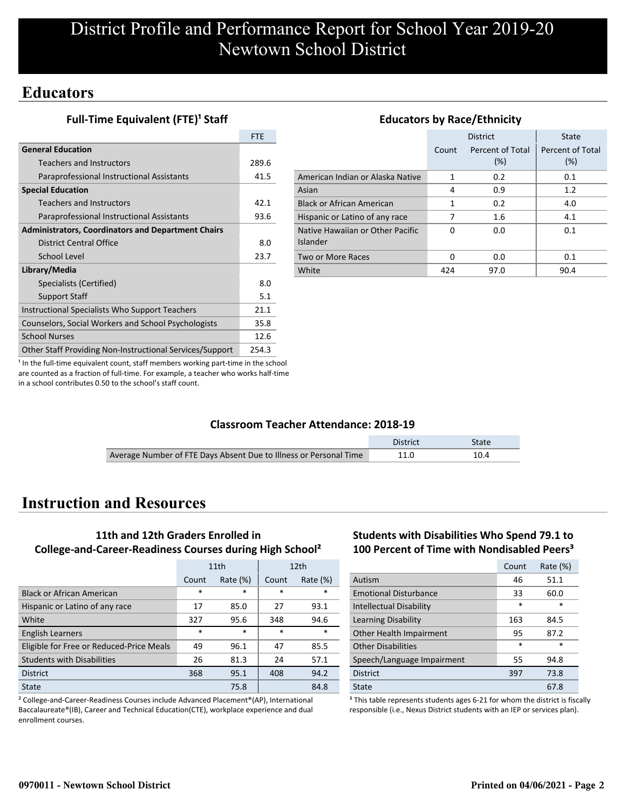## **Educators**

**Full-Time Equivalent (FTE)<sup>1</sup> Staff** 

|                                                           | <b>FTE</b> |
|-----------------------------------------------------------|------------|
| <b>General Education</b>                                  |            |
| <b>Teachers and Instructors</b>                           | 289.6      |
| Paraprofessional Instructional Assistants                 | 41.5       |
| <b>Special Education</b>                                  |            |
| <b>Teachers and Instructors</b>                           | 42.1       |
| Paraprofessional Instructional Assistants                 | 93.6       |
| <b>Administrators, Coordinators and Department Chairs</b> |            |
| District Central Office                                   | 8.0        |
| School Level                                              | 23.7       |
| Library/Media                                             |            |
| Specialists (Certified)                                   | 8.0        |
| <b>Support Staff</b>                                      | 5.1        |
| Instructional Specialists Who Support Teachers            | 21.1       |
| Counselors, Social Workers and School Psychologists       | 35.8       |
| <b>School Nurses</b>                                      | 12.6       |
| Other Staff Providing Non-Instructional Services/Support  | 254.3      |

## **Educators by Race/Ethnicity**

|                                              |       | <b>District</b>         | State                   |
|----------------------------------------------|-------|-------------------------|-------------------------|
|                                              | Count | Percent of Total<br>(%) | Percent of Total<br>(%) |
| American Indian or Alaska Native             | 1     | 0.2                     | 0.1                     |
| Asian                                        | 4     | 0.9                     | 1.2                     |
| <b>Black or African American</b>             | 1     | 0.2                     | 4.0                     |
| Hispanic or Latino of any race               | 7     | 1.6                     | 4.1                     |
| Native Hawaiian or Other Pacific<br>Islander | 0     | 0.0                     | 0.1                     |
| Two or More Races                            | O     | 0.0                     | 0.1                     |
| White                                        | 424   | 97.0                    | 90.4                    |

<sup>1</sup> In the full-time equivalent count, staff members working part-time in the school are counted as a fraction of full-time. For example, a teacher who works half-time in a school contributes 0.50 to the school's staff count.

### **Classroom Teacher Attendance: 2018-19**

|                                                                   | District | State |
|-------------------------------------------------------------------|----------|-------|
| Average Number of FTE Days Absent Due to Illness or Personal Time |          |       |

## **Instruction and Resources**

## **11th and 12th Graders Enrolled in College-and-Career-Readiness Courses during High School²**

|                                          | 11th   |             |        | 12 <sub>th</sub> |
|------------------------------------------|--------|-------------|--------|------------------|
|                                          | Count  | Rate $(\%)$ | Count  | Rate $(\%)$      |
| <b>Black or African American</b>         | $\ast$ | $\ast$      | $\ast$ | $\ast$           |
| Hispanic or Latino of any race           | 17     | 85.0        | 27     | 93.1             |
| White                                    | 327    | 95.6        | 348    | 94.6             |
| <b>English Learners</b>                  | $\ast$ | $\ast$      | $\ast$ | $\ast$           |
| Eligible for Free or Reduced-Price Meals | 49     | 96.1        | 47     | 85.5             |
| <b>Students with Disabilities</b>        | 26     | 81.3        | 24     | 57.1             |
| <b>District</b>                          | 368    | 95.1        | 408    | 94.2             |
| State                                    |        | 75.8        |        | 84.8             |

² College-and-Career-Readiness Courses include Advanced Placement®(AP), International Baccalaureate®(IB), Career and Technical Education(CTE), workplace experience and dual enrollment courses.

## **Students with Disabilities Who Spend 79.1 to 100 Percent of Time with Nondisabled Peers³**

|                                | Count  | Rate $(\%)$ |
|--------------------------------|--------|-------------|
| Autism                         | 46     | 51.1        |
| <b>Emotional Disturbance</b>   | 33     | 60.0        |
| <b>Intellectual Disability</b> | $\ast$ | $\ast$      |
| Learning Disability            | 163    | 84.5        |
| Other Health Impairment        | 95     | 87.2        |
| <b>Other Disabilities</b>      | $\ast$ | $\ast$      |
| Speech/Language Impairment     | 55     | 94.8        |
| <b>District</b>                | 397    | 73.8        |
| State                          |        | 67.8        |

<sup>3</sup> This table represents students ages 6-21 for whom the district is fiscally responsible (i.e., Nexus District students with an IEP or services plan).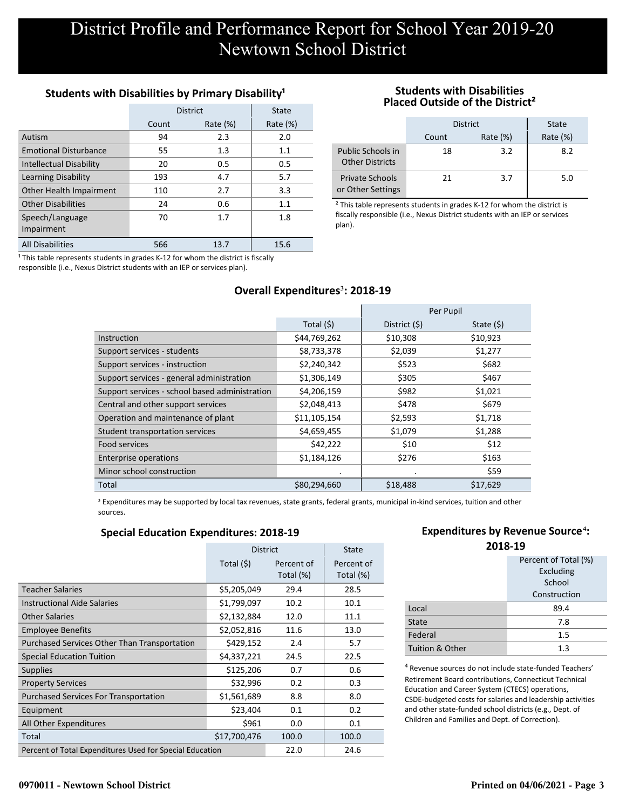## **Students with Disabilities by Primary Disability<sup>1</sup>**

|                                | <b>District</b> | State       |             |
|--------------------------------|-----------------|-------------|-------------|
|                                | Count           | Rate $(\%)$ | Rate $(\%)$ |
| Autism                         | 94              | 2.3         | 2.0         |
| <b>Emotional Disturbance</b>   | 55              | 1.3         | 1.1         |
| <b>Intellectual Disability</b> | 20              | 0.5         | 0.5         |
| <b>Learning Disability</b>     | 193             | 4.7         | 5.7         |
| Other Health Impairment        | 110             | 2.7         | 3.3         |
| <b>Other Disabilities</b>      | 24              | 0.6         | 1.1         |
| Speech/Language<br>Impairment  | 70              | 1.7         | 1.8         |
| <b>All Disabilities</b>        | 566             | 13.7        | 15.6        |

 $1$  This table represents students in grades K-12 for whom the district is fiscally responsible (i.e., Nexus District students with an IEP or services plan).

### **Students with Disabilities Placed Outside of the District²**

|                                             | <b>District</b> | <b>State</b> |             |
|---------------------------------------------|-----------------|--------------|-------------|
|                                             | Count           | Rate $(\%)$  | Rate $(\%)$ |
| Public Schools in<br><b>Other Districts</b> | 18              | 3.2          | 8.2         |
| <b>Private Schools</b><br>or Other Settings | 21              | 3.7          | 5.0         |

² This table represents students in grades K-12 for whom the district is fiscally responsible (i.e., Nexus District students with an IEP or services plan).

## **Overall Expenditures<sup>3</sup>: 2018-19**

|                                                |              |                | Per Pupil   |
|------------------------------------------------|--------------|----------------|-------------|
|                                                | Total $(5)$  | District $(5)$ | State $(5)$ |
| Instruction                                    | \$44,769,262 | \$10,308       | \$10,923    |
| Support services - students                    | \$8,733,378  | \$2,039        | \$1,277     |
| Support services - instruction                 | \$2,240,342  | \$523          | \$682       |
| Support services - general administration      | \$1,306,149  | \$305          | \$467       |
| Support services - school based administration | \$4,206,159  | \$982          | \$1,021     |
| Central and other support services             | \$2,048,413  | \$478          | \$679       |
| Operation and maintenance of plant             | \$11,105,154 | \$2,593        | \$1,718     |
| Student transportation services                | \$4,659,455  | \$1,079        | \$1,288     |
| Food services                                  | \$42,222     | \$10           | \$12        |
| <b>Enterprise operations</b>                   | \$1,184,126  | \$276          | \$163       |
| Minor school construction                      |              |                | \$59        |
| Total                                          | \$80,294,660 | \$18,488       | \$17,629    |

<sup>3</sup> Expenditures may be supported by local tax revenues, state grants, federal grants, municipal in-kind services, tuition and other sources.

### **Special Education Expenditures: 2018-19**

|                                                          | <b>District</b> | State                   |                         |
|----------------------------------------------------------|-----------------|-------------------------|-------------------------|
|                                                          | Total (\$)      | Percent of<br>Total (%) | Percent of<br>Total (%) |
|                                                          |                 |                         |                         |
| <b>Teacher Salaries</b>                                  | \$5,205,049     | 29.4                    | 28.5                    |
| <b>Instructional Aide Salaries</b>                       | \$1,799,097     | 10.2                    | 10.1                    |
| Other Salaries                                           | \$2,132,884     | 12.0                    | 11.1                    |
| <b>Employee Benefits</b>                                 | \$2,052,816     | 11.6                    | 13.0                    |
| Purchased Services Other Than Transportation             | \$429,152       | 2.4                     | 5.7                     |
| <b>Special Education Tuition</b>                         | \$4,337,221     | 24.5                    | 22.5                    |
| <b>Supplies</b>                                          | \$125,206       | 0.7                     | 0.6                     |
| <b>Property Services</b>                                 | \$32,996        | 0.2                     | 0.3                     |
| <b>Purchased Services For Transportation</b>             | \$1,561,689     | 8.8                     | 8.0                     |
| Equipment                                                | \$23,404        | 0.1                     | 0.2                     |
| All Other Expenditures                                   | \$961           | 0.0                     | 0.1                     |
| Total                                                    | \$17,700,476    | 100.0                   | 100.0                   |
| Percent of Total Expenditures Used for Special Education | 22.0            | 24.6                    |                         |

## **Expenditures by Revenue Source<sup>4</sup>:**

| 2018-19                    |                      |  |  |
|----------------------------|----------------------|--|--|
|                            | Percent of Total (%) |  |  |
|                            | Excluding            |  |  |
|                            | School               |  |  |
|                            | Construction         |  |  |
| Local                      | 89.4                 |  |  |
| State                      | 7.8                  |  |  |
| Federal                    | $1.5\,$              |  |  |
| <b>Tuition &amp; Other</b> | 1.3                  |  |  |

⁴ Revenue sources do not include state-funded Teachers' Retirement Board contributions, Connecticut Technical Education and Career System (CTECS) operations, CSDE-budgeted costs for salaries and leadership activities and other state-funded school districts (e.g., Dept. of Children and Families and Dept. of Correction).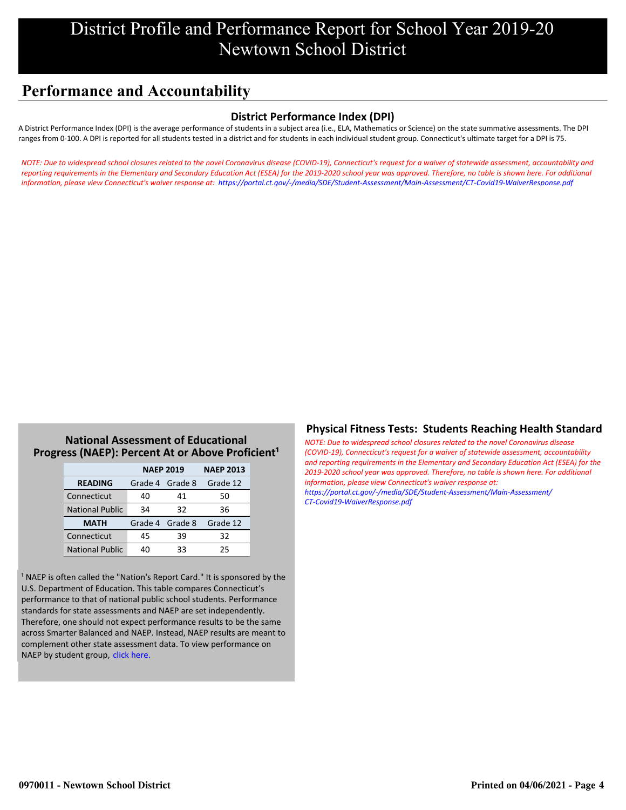## **Performance and Accountability**

## **District Performance Index (DPI)**

A District Performance Index (DPI) is the average performance of students in a subject area (i.e., ELA, Mathematics or Science) on the state summative assessments. The DPI ranges from 0-100. A DPI is reported for all students tested in a district and for students in each individual student group. Connecticut's ultimate target for a DPI is 75.

*[NOTE: Due to widespread school closures related to the novel Coronavirus disease \(COVID-19\), Connecticut's request for a waiver of statewide assessment, accountability and](https://portal.ct.gov/-/media/SDE/Student-Assessment/Main-Assessment/CT-Covid19-WaiverResponse.pdf) reporting requirements in the Elementary and Secondary Education Act (ESEA) for the 2019-2020 school year was approved. Therefore, no table is shown here. For additional information, please view Connecticut's waiver response at: https://portal.ct.gov/-/media/SDE/Student-Assessment/Main-Assessment/CT-Covid19-WaiverResponse.pdf*

## **National Assessment of Educational** Progress (NAEP): Percent At or Above Proficient<sup>1</sup>

|                        | <b>NAEP 2019</b> | <b>NAEP 2013</b> |          |
|------------------------|------------------|------------------|----------|
| <b>READING</b>         |                  | Grade 4 Grade 8  | Grade 12 |
| Connecticut            | 40               | 41               | 50       |
| <b>National Public</b> | 34               | 32               | 36       |
| <b>MATH</b>            |                  | Grade 4 Grade 8  | Grade 12 |
| Connecticut            | 45               | 39               | 32       |
| <b>National Public</b> | 40               | 33               | 25       |

<sup>1</sup> NAEP is often called the "Nation's Report Card." It is sponsored by the U.S. Department of Education. This table compares Connecticut's performance to that of national public school students. Performance standards for state assessments and NAEP are set independently. Therefore, one should not expect performance results to be the same across Smarter Balanced and NAEP. Instead, NAEP results are meant to complement other state assessment data. To view performance on NAEP by student group, click here.

### **Physical Fitness Tests: Students Reaching Health Standard**

*NOTE: Due to widespread school closures related to the novel Coronavirus disease (COVID-19), Connecticut's request for a waiver of statewide assessment, accountability [and reporting requirements in the Elementary and Secondary Education Act \(ESEA\) for the](https://portal.ct.gov/-/media/SDE/Student-Assessment/Main-Assessment/CT-Covid19-WaiverResponse.pdf) 2019-2020 school year was approved. Therefore, no table is shown here. For additional information, please view Connecticut's waiver response at: https://portal.ct.gov/-/media/SDE/Student-Assessment/Main-Assessment/ CT-Covid19-WaiverResponse.pdf*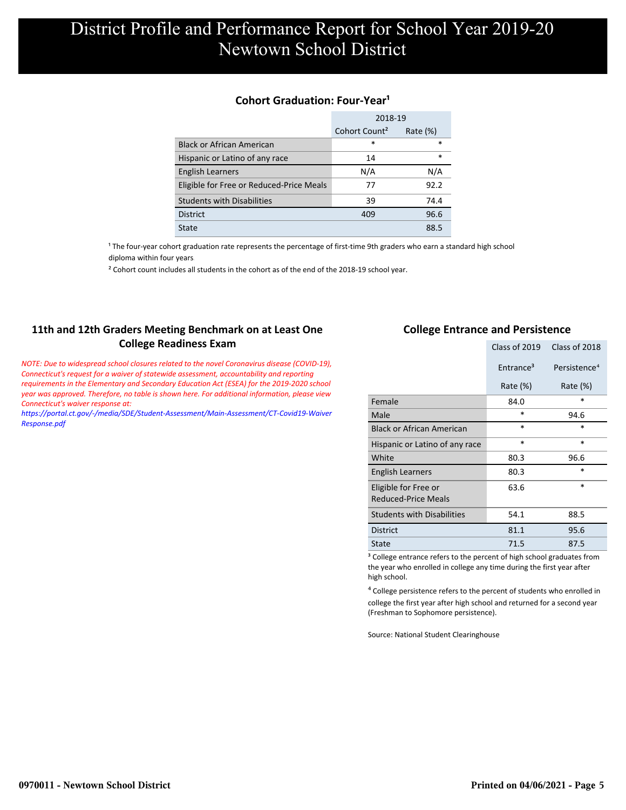## **Cohort Graduation: Four-Year<sup>1</sup>**

|                                          | 2018-19                   |             |  |
|------------------------------------------|---------------------------|-------------|--|
|                                          | Cohort Count <sup>2</sup> | Rate $(\%)$ |  |
| <b>Black or African American</b>         | *                         | *           |  |
| Hispanic or Latino of any race           | 14                        | $\ast$      |  |
| <b>English Learners</b>                  | N/A                       | N/A         |  |
| Eligible for Free or Reduced-Price Meals | 77                        | 92.2        |  |
| <b>Students with Disabilities</b>        | 39                        | 74.4        |  |
| <b>District</b>                          | 409                       | 96.6        |  |
| State                                    |                           | 88.5        |  |

<sup>1</sup> The four-year cohort graduation rate represents the percentage of first-time 9th graders who earn a standard high school [diploma within four years.](http://www.sde.ct.gov/sde/cwp/view.asp?a=2758&q=334898)

<sup>2</sup> Cohort count includes all students in the cohort as of the end of the 2018-19 school year.

## **11th and 12th Graders Meeting Benchmark on at Least One College Readiness Exam**

*NOTE: Due to widespread school closures related to the novel Coronavirus disease (COVID-19), Connecticut's request for a waiver of statewide assessment, accountability and reporting requirements in the Elementary and Secondary Education Act (ESEA) for the 2019-2020 school year was approved. Therefore, no table is shown here. For additional information, please view Connecticut's waiver response at:*

*[https://portal.ct.gov/-/media/SDE/Student-Assessment/Main-Assessment/CT-Covid19-Waiver](https://portal.ct.gov/-/media/SDE/Student-Assessment/Main-Assessment/CT-Covid19-WaiverResponse.pdf) Response.pdf*

### **College Entrance and Persistence**

|                                                    | Class of 2019         | Class of 2018            |
|----------------------------------------------------|-----------------------|--------------------------|
|                                                    | Entrance <sup>3</sup> | Persistence <sup>4</sup> |
|                                                    | Rate $(\%)$           | Rate $(\%)$              |
| Female                                             | 84.0                  | *                        |
| Male                                               | $\ast$                | 94.6                     |
| <b>Black or African American</b>                   | $\ast$                | $\ast$                   |
| Hispanic or Latino of any race                     | *                     | *                        |
| White                                              | 80.3                  | 96.6                     |
| English Learners                                   | 80.3                  | *                        |
| Eligible for Free or<br><b>Reduced-Price Meals</b> | 63.6                  | $\ast$                   |
| <b>Students with Disabilities</b>                  | 54.1                  | 88.5                     |
| <b>District</b>                                    | 81.1                  | 95.6                     |
| <b>State</b>                                       | 71.5                  | 87.5                     |

<sup>3</sup> College entrance refers to the percent of high school graduates from the year who enrolled in college any time during the first year after high school.

⁴ College persistence refers to the percent of students who enrolled in college the first year after high school and returned for a second year (Freshman to Sophomore persistence).

Source: National Student Clearinghouse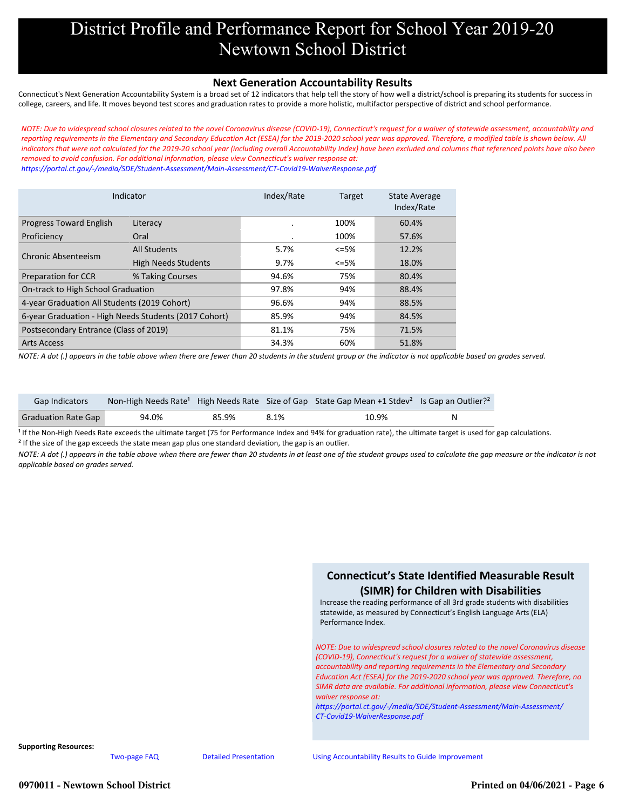#### **Next Generation Accountability Results**

Connecticut's Next Generation Accountability System is a broad set of 12 indicators that help tell the story of how well a district/school is preparing its students for success in college, careers, and life. It moves beyond test scores and graduation rates to provide a more holistic, multifactor perspective of district and school performance.

*NOTE: Due to widespread school closures related to the novel Coronavirus disease (COVID-19), Connecticut's request for a waiver of statewide assessment, accountability and reporting requirements in the Elementary and Secondary Education Act (ESEA) for the 2019-2020 school year was approved. Therefore, a modified table is shown below. All [indicators that were not calculated for the 2019-20 school year \(including overall Accountability Index\) have been excluded and columns that referenced points have also been](https://portal.ct.gov/-/media/SDE/Student-Assessment/Main-Assessment/CT-Covid19-WaiverResponse.pdf) removed to avoid confusion. For additional information, please view Connecticut's waiver response at:*

*https://portal.ct.gov/-/media/SDE/Student-Assessment/Main-Assessment/CT-Covid19-WaiverResponse.pdf*

| Indicator                                             |                            | Index/Rate               | <b>Target</b> |       |
|-------------------------------------------------------|----------------------------|--------------------------|---------------|-------|
| <b>Progress Toward English</b>                        | Literacy                   | $\overline{\phantom{a}}$ | 100%          | 60.4% |
| Proficiency                                           | Oral                       |                          | 100%          | 57.6% |
| Chronic Absenteeism                                   | <b>All Students</b>        | 5.7%                     | $<=5%$        | 12.2% |
|                                                       | <b>High Needs Students</b> | 9.7%                     | $\leq$ =5%    | 18.0% |
| <b>Preparation for CCR</b>                            | % Taking Courses           | 94.6%                    | 75%           | 80.4% |
| On-track to High School Graduation                    |                            | 97.8%                    | 94%           | 88.4% |
| 4-year Graduation All Students (2019 Cohort)          |                            | 96.6%                    | 94%           | 88.5% |
| 6-year Graduation - High Needs Students (2017 Cohort) |                            | 85.9%                    | 94%           | 84.5% |
| Postsecondary Entrance (Class of 2019)                |                            | 81.1%                    | 75%           | 71.5% |
| <b>Arts Access</b>                                    |                            | 34.3%                    | 60%           | 51.8% |

*NOTE: A dot (.) appears in the table above when there are fewer than 20 students in the student group or the indicator is not applicable based on grades served.*

| <b>Gap Indicators</b>      |       |       |      | Non-High Needs Rate <sup>1</sup> High Needs Rate Size of Gap State Gap Mean +1 Stdev <sup>2</sup> Is Gap an Outlier? <sup>2</sup> |   |
|----------------------------|-------|-------|------|-----------------------------------------------------------------------------------------------------------------------------------|---|
| <b>Graduation Rate Gap</b> | 94.0% | 85.9% | 8.1% | 10.9%                                                                                                                             | N |

<sup>1</sup> If the Non-High Needs Rate exceeds the ultimate target (75 for Performance Index and 94% for graduation rate), the ultimate target is used for gap calculations. <sup>2</sup> If the size of the gap exceeds the state mean gap plus one standard deviation, the gap is an outlier.

*NOTE: A dot (.) appears in the table above when there are fewer than 20 students in at least one of the student groups used to calculate the gap measure or the indicator is not applicable based on grades served.*



**Supporting Resources:**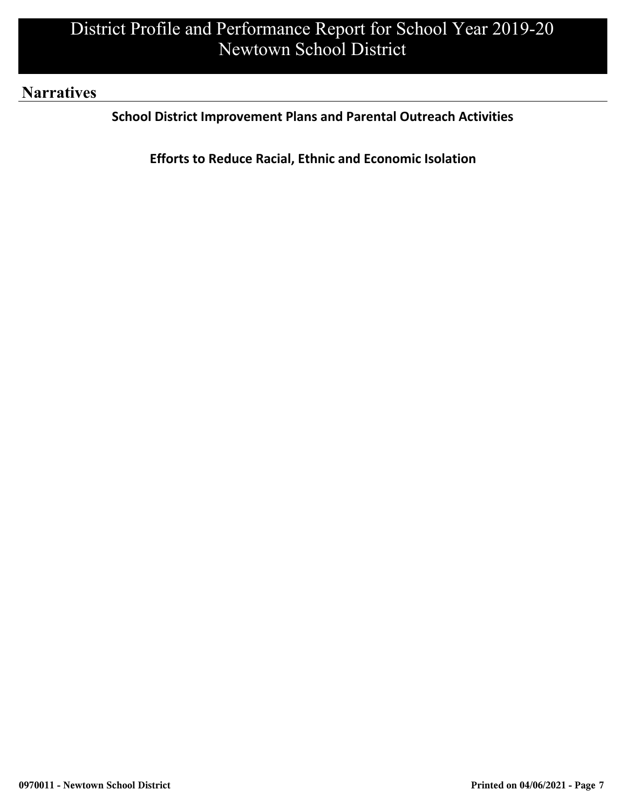## **Narratives**

 **School District Improvement Plans and Parental Outreach Activities**

 **Efforts to Reduce Racial, Ethnic and Economic Isolation**